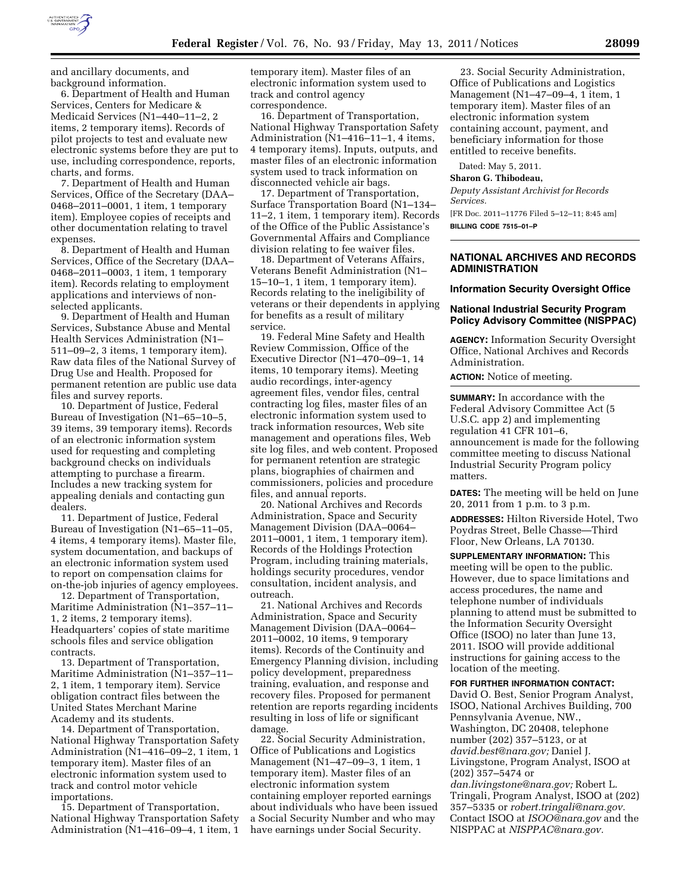

and ancillary documents, and background information.

6. Department of Health and Human Services, Centers for Medicare & Medicaid Services (N1–440–11–2, 2 items, 2 temporary items). Records of pilot projects to test and evaluate new electronic systems before they are put to use, including correspondence, reports, charts, and forms.

7. Department of Health and Human Services, Office of the Secretary (DAA– 0468–2011–0001, 1 item, 1 temporary item). Employee copies of receipts and other documentation relating to travel expenses.

8. Department of Health and Human Services, Office of the Secretary (DAA– 0468–2011–0003, 1 item, 1 temporary item). Records relating to employment applications and interviews of nonselected applicants.

9. Department of Health and Human Services, Substance Abuse and Mental Health Services Administration (N1– 511–09–2, 3 items, 1 temporary item). Raw data files of the National Survey of Drug Use and Health. Proposed for permanent retention are public use data files and survey reports.

10. Department of Justice, Federal Bureau of Investigation (N1–65–10–5, 39 items, 39 temporary items). Records of an electronic information system used for requesting and completing background checks on individuals attempting to purchase a firearm. Includes a new tracking system for appealing denials and contacting gun dealers.

11. Department of Justice, Federal Bureau of Investigation (N1–65–11–05, 4 items, 4 temporary items). Master file, system documentation, and backups of an electronic information system used to report on compensation claims for on-the-job injuries of agency employees.

12. Department of Transportation, Maritime Administration (N1–357–11– 1, 2 items, 2 temporary items). Headquarters' copies of state maritime schools files and service obligation contracts.

13. Department of Transportation, Maritime Administration (N1–357–11– 2, 1 item, 1 temporary item). Service obligation contract files between the United States Merchant Marine Academy and its students.

14. Department of Transportation, National Highway Transportation Safety Administration (N1–416–09–2, 1 item, 1 temporary item). Master files of an electronic information system used to track and control motor vehicle importations.

15. Department of Transportation, National Highway Transportation Safety Administration (N1–416–09–4, 1 item, 1

temporary item). Master files of an electronic information system used to track and control agency correspondence.

16. Department of Transportation, National Highway Transportation Safety Administration (N1–416–11–1, 4 items, 4 temporary items). Inputs, outputs, and master files of an electronic information system used to track information on disconnected vehicle air bags.

17. Department of Transportation, Surface Transportation Board (N1–134– 11–2, 1 item, 1 temporary item). Records of the Office of the Public Assistance's Governmental Affairs and Compliance division relating to fee waiver files.

18. Department of Veterans Affairs, Veterans Benefit Administration (N1– 15–10–1, 1 item, 1 temporary item). Records relating to the ineligibility of veterans or their dependents in applying for benefits as a result of military service.

19. Federal Mine Safety and Health Review Commission, Office of the Executive Director (N1–470–09–1, 14 items, 10 temporary items). Meeting audio recordings, inter-agency agreement files, vendor files, central contracting log files, master files of an electronic information system used to track information resources, Web site management and operations files, Web site log files, and web content. Proposed for permanent retention are strategic plans, biographies of chairmen and commissioners, policies and procedure files, and annual reports.

20. National Archives and Records Administration, Space and Security Management Division (DAA–0064– 2011–0001, 1 item, 1 temporary item). Records of the Holdings Protection Program, including training materials, holdings security procedures, vendor consultation, incident analysis, and outreach.

21. National Archives and Records Administration, Space and Security Management Division (DAA–0064– 2011–0002, 10 items, 9 temporary items). Records of the Continuity and Emergency Planning division, including policy development, preparedness training, evaluation, and response and recovery files. Proposed for permanent retention are reports regarding incidents resulting in loss of life or significant damage.

22. Social Security Administration, Office of Publications and Logistics Management (N1–47–09–3, 1 item, 1 temporary item). Master files of an electronic information system containing employer reported earnings about individuals who have been issued a Social Security Number and who may have earnings under Social Security.

23. Social Security Administration, Office of Publications and Logistics Management (N1–47–09–4, 1 item, 1 temporary item). Master files of an electronic information system containing account, payment, and beneficiary information for those entitled to receive benefits.

Dated: May 5, 2011.

**Sharon G. Thibodeau,** 

*Deputy Assistant Archivist for Records Services.* 

[FR Doc. 2011–11776 Filed 5–12–11; 8:45 am] **BILLING CODE 7515–01–P** 

## **NATIONAL ARCHIVES AND RECORDS ADMINISTRATION**

#### **Information Security Oversight Office**

### **National Industrial Security Program Policy Advisory Committee (NISPPAC)**

**AGENCY:** Information Security Oversight Office, National Archives and Records Administration.

**ACTION:** Notice of meeting.

**SUMMARY:** In accordance with the Federal Advisory Committee Act (5 U.S.C. app 2) and implementing regulation 41 CFR 101–6, announcement is made for the following committee meeting to discuss National Industrial Security Program policy matters.

**DATES:** The meeting will be held on June 20, 2011 from 1 p.m. to 3 p.m.

**ADDRESSES:** Hilton Riverside Hotel, Two Poydras Street, Belle Chasse—Third Floor, New Orleans, LA 70130.

**SUPPLEMENTARY INFORMATION:** This meeting will be open to the public. However, due to space limitations and access procedures, the name and telephone number of individuals planning to attend must be submitted to the Information Security Oversight Office (ISOO) no later than June 13, 2011. ISOO will provide additional instructions for gaining access to the location of the meeting.

#### **FOR FURTHER INFORMATION CONTACT:**

David O. Best, Senior Program Analyst, ISOO, National Archives Building, 700 Pennsylvania Avenue, NW., Washington, DC 20408, telephone number (202) 357–5123, or at *[david.best@nara.gov;](mailto:david.best@nara.gov)* Daniel J. Livingstone, Program Analyst, ISOO at (202) 357–5474 or

*[dan.livingstone@nara.gov;](mailto:dan.livingstone@nara.gov)* Robert L. Tringali, Program Analyst, ISOO at (202) 357–5335 or *[robert.tringali@nara.gov.](mailto:robert.tringali@nara.gov)*  Contact ISOO at *[ISOO@nara.gov](mailto:ISOO@nara.gov)* and the NISPPAC at *[NISPPAC@nara.gov.](mailto:NISPPAC@nara.gov)*